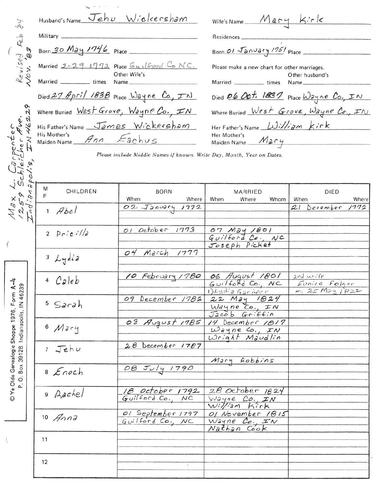| 53                                                                                   | Husband's Name Jehu Wickersham                     |                                                                        | Wife's Name $Maxy$ $Kirk$                                                                              |                                                |
|--------------------------------------------------------------------------------------|----------------------------------------------------|------------------------------------------------------------------------|--------------------------------------------------------------------------------------------------------|------------------------------------------------|
| Revised Feb<br>Nov. '83                                                              |                                                    |                                                                        |                                                                                                        |                                                |
|                                                                                      | Born 30 May 1746 Place                             |                                                                        | Born $01 \sqrt{3}$ $\frac{1}{2}$ $\frac{1}{5}$ $\frac{1}{5}$ $\frac{1}{5}$ $\frac{1}{5}$ $\frac{1}{5}$ |                                                |
|                                                                                      |                                                    | Married 2-29 1772 Place <u>Guilford</u> Co NC.<br>Other Wife's         | Please make a new chart for other marriages.                                                           | Other husband's                                |
|                                                                                      |                                                    | Married Culture Marries                                                | Married ____________ times                                                                             | Name,                                          |
|                                                                                      |                                                    | Died 27 April 1838 Place Wayne Co., IN                                 |                                                                                                        | Died 06 Oct. 1837 Place Wayne Co., IN          |
|                                                                                      | Where Buried West Grove, Wayne Co., IN             |                                                                        | Where Buried $West$ Grove, $Wayne$ Co., $TN$                                                           |                                                |
|                                                                                      | His Father's Name James Wickersham<br>His Mother's |                                                                        | Her Father's Name William Kirk<br>Her Mother's                                                         |                                                |
|                                                                                      | Maiden Name Ann Eachus                             |                                                                        | Maiden Name Mary                                                                                       |                                                |
| Carpenter<br>bleicher Ave.<br>olis IN 46229                                          |                                                    | Please include Middle Names if known. Write Day, Month, Year on Dates. |                                                                                                        |                                                |
|                                                                                      | M<br>CHILDREN<br>F                                 | <b>BORN</b><br>When<br>Where                                           | MARRIED<br>When<br>Where<br>Whom                                                                       | <b>DIED</b><br>When<br>Where                   |
| $M_{\alpha}$<br>$\frac{1}{2}\sum_{i=1}^{n}$                                          | $1$ $Abel$                                         | 02 January 1772                                                        |                                                                                                        | 21<br>December<br>1772                         |
| $\overline{\left( \begin{array}{cc} 0 & 0 \\ 0 & 0 \end{array} \right)}$             | 2 Prici/2                                          | October 1773<br>O <sub>1</sub>                                         | 07 May 1801<br>Guilford Co., NC<br>Joseph Picket                                                       |                                                |
|                                                                                      | $3$ Lydia                                          | 04 March<br>1777                                                       |                                                                                                        |                                                |
|                                                                                      | <sup>4</sup> Caleb                                 | 10 February 1780                                                       | 06 August 1801<br>$Guitfofd$ Co., $NC$<br>1) Ludia Gardner                                             | $2nd$ wife<br>Eunice Folger<br>$m.25$ May 1822 |
| © Ye Olde Genealogie Shoppe 1976, Form A–4<br>P. O. Box 39128 Indianapolis, IN 46239 | $5$ Sarah                                          | 09 December 1782                                                       | 22 May 1824<br>$Wayne$ $Co.$ $IN$<br>Jacob Griffin                                                     |                                                |
|                                                                                      | 6 Mary                                             | 03 August 1785                                                         | 14 December 1817<br>Wayne Co., IN<br>Wright Maudlin                                                    |                                                |
|                                                                                      | $7$ Jehu                                           | 28 December 1787                                                       |                                                                                                        |                                                |
|                                                                                      | 8 Enoch                                            | 08 July 1790                                                           | Mary Robbins                                                                                           |                                                |
|                                                                                      | 9 Aachel                                           | 18 October 1792<br>Guilford Co., NC                                    | 28 October 1824<br>$W$ <i>ayne</i> Co., IN<br>William Kirk                                             |                                                |
|                                                                                      | $10$ Anna                                          | Ol September 1797<br>Guilford Co., NC                                  | 01 November 1815<br>Wayne Co., IN<br>Nathan Cook                                                       |                                                |
|                                                                                      | 11                                                 |                                                                        |                                                                                                        |                                                |
|                                                                                      | 12                                                 |                                                                        |                                                                                                        |                                                |

 $\mathbf{i}$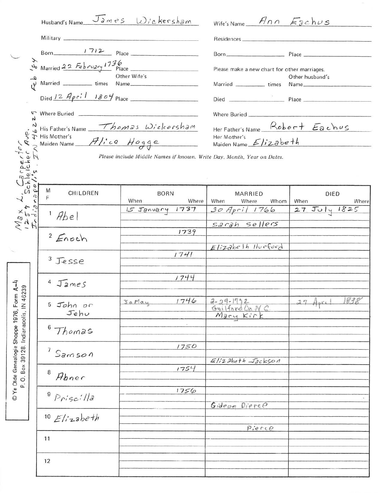| Military experience of the contract of the contract of the contract of the contract of the contract of the contract of the contract of the contract of the contract of the contract of the contract of the contract of the con<br>Born 1712 Place<br>Please make a new chart for other marriages.<br>Other Wife's<br>Other husband's<br>Married ____________ times<br>Died $12$ April 1804 Place<br>$\mathfrak{c}$<br>Where Buried<br>Where Buried __________<br>N<br>Her Father's Name Robert Eachus<br>N His Father's Name <i>Thomas Wickersham</i><br>This Mother's<br>S Maiden Name <i>Alice Hogge</i><br>Her Mother's<br>Maiden Name Elizabeth<br>perter<br>Icher A<br>Please include Middle Names if known. Write Day, Month, Year on Dates.<br>$x_3$ Schlei<br>Schlei<br>napplis<br>M<br>CHILDREN<br><b>BORN</b><br><b>MARRIED</b><br>DIED<br>F<br>When<br>Where<br>When<br>Where<br>When<br>Whom<br><b>Where</b><br>$\begin{array}{c}\n\sqrt{2} \times \\ \times 2 \times 9 \\ \times 2 \times 9\n\end{array}$<br>27 July 1825<br>$30$ April 1766<br>15 January 1737<br>$1$ Abel<br>sarah sellers<br>1739<br>$2$ <i>Enoch</i><br>$E$ lizabeth Hurford<br>1741<br>$3$ Jesse<br>1744<br>$\overline{4}$<br>IameS<br>$A - 1$<br>39<br>Indianapolis, IN 462<br>Form<br>1838<br>1746<br>$2 - 29 - 192$<br>$27$ Apri<br>$30$ May<br>5 John or<br>Guilford Ca NC<br>© Ye Olde Genealogie Shoppe 1976,<br>Jehu<br>Mary Kirk<br>$6$ Thomas<br>1750<br>Box 39128.<br>7<br>Samson<br>$E1izaheth$ Jackson<br>1754<br>8<br>Abner<br>$\rm \ddot{\rm o}$<br>$\mathbf{a}^{\cdot}$<br>1756<br>$9$ Priscilla<br>Gideon Dierco<br>$10$ Elizabeth<br>Pierce |  | Husband's Name James Wickersham |  | Wife's Name $\n  Ans$ $F_{\partial c}$ hus |  |
|------------------------------------------------------------------------------------------------------------------------------------------------------------------------------------------------------------------------------------------------------------------------------------------------------------------------------------------------------------------------------------------------------------------------------------------------------------------------------------------------------------------------------------------------------------------------------------------------------------------------------------------------------------------------------------------------------------------------------------------------------------------------------------------------------------------------------------------------------------------------------------------------------------------------------------------------------------------------------------------------------------------------------------------------------------------------------------------------------------------------------------------------------------------------------------------------------------------------------------------------------------------------------------------------------------------------------------------------------------------------------------------------------------------------------------------------------------------------------------------------------------------------------------------------------------------------------------------------------------------------------------------------|--|---------------------------------|--|--------------------------------------------|--|
|                                                                                                                                                                                                                                                                                                                                                                                                                                                                                                                                                                                                                                                                                                                                                                                                                                                                                                                                                                                                                                                                                                                                                                                                                                                                                                                                                                                                                                                                                                                                                                                                                                                |  |                                 |  |                                            |  |
|                                                                                                                                                                                                                                                                                                                                                                                                                                                                                                                                                                                                                                                                                                                                                                                                                                                                                                                                                                                                                                                                                                                                                                                                                                                                                                                                                                                                                                                                                                                                                                                                                                                |  |                                 |  |                                            |  |
|                                                                                                                                                                                                                                                                                                                                                                                                                                                                                                                                                                                                                                                                                                                                                                                                                                                                                                                                                                                                                                                                                                                                                                                                                                                                                                                                                                                                                                                                                                                                                                                                                                                |  |                                 |  |                                            |  |
|                                                                                                                                                                                                                                                                                                                                                                                                                                                                                                                                                                                                                                                                                                                                                                                                                                                                                                                                                                                                                                                                                                                                                                                                                                                                                                                                                                                                                                                                                                                                                                                                                                                |  |                                 |  |                                            |  |
|                                                                                                                                                                                                                                                                                                                                                                                                                                                                                                                                                                                                                                                                                                                                                                                                                                                                                                                                                                                                                                                                                                                                                                                                                                                                                                                                                                                                                                                                                                                                                                                                                                                |  |                                 |  |                                            |  |
|                                                                                                                                                                                                                                                                                                                                                                                                                                                                                                                                                                                                                                                                                                                                                                                                                                                                                                                                                                                                                                                                                                                                                                                                                                                                                                                                                                                                                                                                                                                                                                                                                                                |  |                                 |  |                                            |  |
|                                                                                                                                                                                                                                                                                                                                                                                                                                                                                                                                                                                                                                                                                                                                                                                                                                                                                                                                                                                                                                                                                                                                                                                                                                                                                                                                                                                                                                                                                                                                                                                                                                                |  |                                 |  |                                            |  |
|                                                                                                                                                                                                                                                                                                                                                                                                                                                                                                                                                                                                                                                                                                                                                                                                                                                                                                                                                                                                                                                                                                                                                                                                                                                                                                                                                                                                                                                                                                                                                                                                                                                |  |                                 |  |                                            |  |
|                                                                                                                                                                                                                                                                                                                                                                                                                                                                                                                                                                                                                                                                                                                                                                                                                                                                                                                                                                                                                                                                                                                                                                                                                                                                                                                                                                                                                                                                                                                                                                                                                                                |  |                                 |  |                                            |  |
|                                                                                                                                                                                                                                                                                                                                                                                                                                                                                                                                                                                                                                                                                                                                                                                                                                                                                                                                                                                                                                                                                                                                                                                                                                                                                                                                                                                                                                                                                                                                                                                                                                                |  |                                 |  |                                            |  |
|                                                                                                                                                                                                                                                                                                                                                                                                                                                                                                                                                                                                                                                                                                                                                                                                                                                                                                                                                                                                                                                                                                                                                                                                                                                                                                                                                                                                                                                                                                                                                                                                                                                |  |                                 |  |                                            |  |
|                                                                                                                                                                                                                                                                                                                                                                                                                                                                                                                                                                                                                                                                                                                                                                                                                                                                                                                                                                                                                                                                                                                                                                                                                                                                                                                                                                                                                                                                                                                                                                                                                                                |  |                                 |  |                                            |  |
|                                                                                                                                                                                                                                                                                                                                                                                                                                                                                                                                                                                                                                                                                                                                                                                                                                                                                                                                                                                                                                                                                                                                                                                                                                                                                                                                                                                                                                                                                                                                                                                                                                                |  |                                 |  |                                            |  |
|                                                                                                                                                                                                                                                                                                                                                                                                                                                                                                                                                                                                                                                                                                                                                                                                                                                                                                                                                                                                                                                                                                                                                                                                                                                                                                                                                                                                                                                                                                                                                                                                                                                |  |                                 |  |                                            |  |
|                                                                                                                                                                                                                                                                                                                                                                                                                                                                                                                                                                                                                                                                                                                                                                                                                                                                                                                                                                                                                                                                                                                                                                                                                                                                                                                                                                                                                                                                                                                                                                                                                                                |  |                                 |  |                                            |  |
|                                                                                                                                                                                                                                                                                                                                                                                                                                                                                                                                                                                                                                                                                                                                                                                                                                                                                                                                                                                                                                                                                                                                                                                                                                                                                                                                                                                                                                                                                                                                                                                                                                                |  |                                 |  |                                            |  |
|                                                                                                                                                                                                                                                                                                                                                                                                                                                                                                                                                                                                                                                                                                                                                                                                                                                                                                                                                                                                                                                                                                                                                                                                                                                                                                                                                                                                                                                                                                                                                                                                                                                |  |                                 |  |                                            |  |
|                                                                                                                                                                                                                                                                                                                                                                                                                                                                                                                                                                                                                                                                                                                                                                                                                                                                                                                                                                                                                                                                                                                                                                                                                                                                                                                                                                                                                                                                                                                                                                                                                                                |  |                                 |  |                                            |  |
|                                                                                                                                                                                                                                                                                                                                                                                                                                                                                                                                                                                                                                                                                                                                                                                                                                                                                                                                                                                                                                                                                                                                                                                                                                                                                                                                                                                                                                                                                                                                                                                                                                                |  |                                 |  |                                            |  |
|                                                                                                                                                                                                                                                                                                                                                                                                                                                                                                                                                                                                                                                                                                                                                                                                                                                                                                                                                                                                                                                                                                                                                                                                                                                                                                                                                                                                                                                                                                                                                                                                                                                |  |                                 |  |                                            |  |
|                                                                                                                                                                                                                                                                                                                                                                                                                                                                                                                                                                                                                                                                                                                                                                                                                                                                                                                                                                                                                                                                                                                                                                                                                                                                                                                                                                                                                                                                                                                                                                                                                                                |  |                                 |  |                                            |  |
|                                                                                                                                                                                                                                                                                                                                                                                                                                                                                                                                                                                                                                                                                                                                                                                                                                                                                                                                                                                                                                                                                                                                                                                                                                                                                                                                                                                                                                                                                                                                                                                                                                                |  |                                 |  |                                            |  |
|                                                                                                                                                                                                                                                                                                                                                                                                                                                                                                                                                                                                                                                                                                                                                                                                                                                                                                                                                                                                                                                                                                                                                                                                                                                                                                                                                                                                                                                                                                                                                                                                                                                |  |                                 |  |                                            |  |
|                                                                                                                                                                                                                                                                                                                                                                                                                                                                                                                                                                                                                                                                                                                                                                                                                                                                                                                                                                                                                                                                                                                                                                                                                                                                                                                                                                                                                                                                                                                                                                                                                                                |  |                                 |  |                                            |  |
|                                                                                                                                                                                                                                                                                                                                                                                                                                                                                                                                                                                                                                                                                                                                                                                                                                                                                                                                                                                                                                                                                                                                                                                                                                                                                                                                                                                                                                                                                                                                                                                                                                                |  |                                 |  |                                            |  |
|                                                                                                                                                                                                                                                                                                                                                                                                                                                                                                                                                                                                                                                                                                                                                                                                                                                                                                                                                                                                                                                                                                                                                                                                                                                                                                                                                                                                                                                                                                                                                                                                                                                |  |                                 |  |                                            |  |
|                                                                                                                                                                                                                                                                                                                                                                                                                                                                                                                                                                                                                                                                                                                                                                                                                                                                                                                                                                                                                                                                                                                                                                                                                                                                                                                                                                                                                                                                                                                                                                                                                                                |  |                                 |  |                                            |  |
|                                                                                                                                                                                                                                                                                                                                                                                                                                                                                                                                                                                                                                                                                                                                                                                                                                                                                                                                                                                                                                                                                                                                                                                                                                                                                                                                                                                                                                                                                                                                                                                                                                                |  |                                 |  |                                            |  |
|                                                                                                                                                                                                                                                                                                                                                                                                                                                                                                                                                                                                                                                                                                                                                                                                                                                                                                                                                                                                                                                                                                                                                                                                                                                                                                                                                                                                                                                                                                                                                                                                                                                |  |                                 |  |                                            |  |
| 11                                                                                                                                                                                                                                                                                                                                                                                                                                                                                                                                                                                                                                                                                                                                                                                                                                                                                                                                                                                                                                                                                                                                                                                                                                                                                                                                                                                                                                                                                                                                                                                                                                             |  |                                 |  |                                            |  |
| 12                                                                                                                                                                                                                                                                                                                                                                                                                                                                                                                                                                                                                                                                                                                                                                                                                                                                                                                                                                                                                                                                                                                                                                                                                                                                                                                                                                                                                                                                                                                                                                                                                                             |  |                                 |  |                                            |  |
|                                                                                                                                                                                                                                                                                                                                                                                                                                                                                                                                                                                                                                                                                                                                                                                                                                                                                                                                                                                                                                                                                                                                                                                                                                                                                                                                                                                                                                                                                                                                                                                                                                                |  |                                 |  |                                            |  |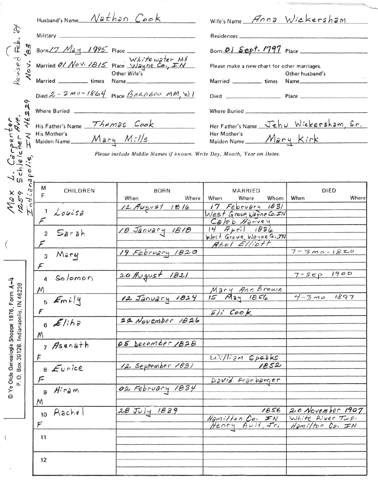| Æ,<br>Revised<br>229<br>Carpent<br>leicher                                         | Husband's Name Nathan Cook<br>His Mother's | $\begin{pmatrix} 1 & m \\ m & m \end{pmatrix}$ Born (7 May 1995 Place White water MH<br>S Married <i>01 Nov. 1815</i> Place Whitewater MH<br>Place Wayne Co., I'M<br>Died $2 - 2\,m\,v - 1864$ Place $\beta$ ARA600 MM, WI<br>His Father's Name Thomas Cook<br>Please include Middle Names if known. Write Day, Month, Year on Dates. | Wife's Name Anna Wickersham<br>Residences_<br>Born 01 Sept. 1797 Place<br>Please make a new chart for other marriages.<br>Married ____________ times<br>Where Buried<br>Her Mother's<br>Maiden Name Mary Kirk | Other husband's<br>Name_________<br>Her Father's Name Jehu Wickersham, Sr. |
|------------------------------------------------------------------------------------|--------------------------------------------|---------------------------------------------------------------------------------------------------------------------------------------------------------------------------------------------------------------------------------------------------------------------------------------------------------------------------------------|---------------------------------------------------------------------------------------------------------------------------------------------------------------------------------------------------------------|----------------------------------------------------------------------------|
| 1259<br>1259                                                                       | м<br>CHILDREN<br>F                         | <b>BORN</b><br>When<br>Where                                                                                                                                                                                                                                                                                                          | <b>MARRIED</b><br>When<br>Whom<br>Where                                                                                                                                                                       | <b>DIED</b><br>Where<br>When                                               |
|                                                                                    | 1 Louisa<br>$\sqrt{2}$                     | 12 August 1816                                                                                                                                                                                                                                                                                                                        | 17 February 1831<br>West Grove, Wayne CO. IN<br>Caleb Harvey                                                                                                                                                  |                                                                            |
|                                                                                    | Sarah<br>$\overline{a}$                    | 18 January 1818                                                                                                                                                                                                                                                                                                                       | $14$ April $1836$<br>West Grove, Wayne G. IN<br>Abel Elliott                                                                                                                                                  |                                                                            |
|                                                                                    | Mary<br>3                                  | 19 February 1820                                                                                                                                                                                                                                                                                                                      |                                                                                                                                                                                                               | $7 - 3 0 - 1820$                                                           |
| ₹                                                                                  | Solomon<br>$\Delta$                        | 20 August 1821                                                                                                                                                                                                                                                                                                                        |                                                                                                                                                                                                               | 1900<br>$7 - 5eP$                                                          |
| P.O. Box 39128. Indianapolis, IN 46239<br>© Ye Olde Genealogie Shoppe 1976, Form A | M<br>$5 \text{Emily}$                      | 12 January 1824                                                                                                                                                                                                                                                                                                                       | Mary Ann Brown<br>15 May 1856                                                                                                                                                                                 | 1897<br>$4 - 3 00$                                                         |
|                                                                                    | F<br>$6$ <i>Eliha</i>                      | 22 November 1826                                                                                                                                                                                                                                                                                                                      | $E/i^{c}$ Cook                                                                                                                                                                                                |                                                                            |
|                                                                                    | M<br>7 Asenath                             | 05 Secember 1828                                                                                                                                                                                                                                                                                                                      | William Speaks                                                                                                                                                                                                |                                                                            |
|                                                                                    | 8 Eurice                                   | 12 September 1831                                                                                                                                                                                                                                                                                                                     | 1852                                                                                                                                                                                                          |                                                                            |
|                                                                                    | Hiram<br>9<br>M                            | 02 February 1834                                                                                                                                                                                                                                                                                                                      | David Franbarger                                                                                                                                                                                              |                                                                            |
|                                                                                    | Rachel<br>10<br>F                          | 28 July 1839                                                                                                                                                                                                                                                                                                                          | 1856<br>Hamilton Co. IN<br>Henry Ault, Jr.                                                                                                                                                                    | 20 November 1907<br>White River Tup.<br>Hamilton Co. IN                    |
|                                                                                    | 11                                         |                                                                                                                                                                                                                                                                                                                                       |                                                                                                                                                                                                               |                                                                            |
|                                                                                    | 12                                         |                                                                                                                                                                                                                                                                                                                                       |                                                                                                                                                                                                               |                                                                            |